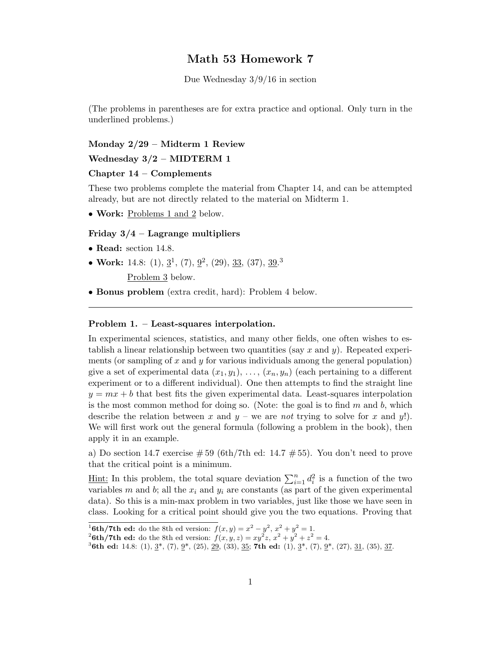# Math 53 Homework 7

Due Wednesday 3/9/16 in section

(The problems in parentheses are for extra practice and optional. Only turn in the underlined problems.)

#### Monday 2/29 – Midterm 1 Review

# Wednesday 3/2 – MIDTERM 1

#### Chapter 14 – Complements

These two problems complete the material from Chapter 14, and can be attempted already, but are not directly related to the material on Midterm 1.

• Work: Problems 1 and 2 below.

## Friday  $3/4$  – Lagrange multipliers

- Read: section 14.8.
- Work: 14.8:  $(1), \underline{3}^1, (7), \underline{9}^2, (29), \underline{33}, (37), \underline{39}^3$

Problem 3 below.

• Bonus problem (extra credit, hard): Problem 4 below.

## Problem 1. – Least-squares interpolation.

In experimental sciences, statistics, and many other fields, one often wishes to establish a linear relationship between two quantities (say  $x$  and  $y$ ). Repeated experiments (or sampling of  $x$  and  $y$  for various individuals among the general population) give a set of experimental data  $(x_1, y_1), \ldots, (x_n, y_n)$  (each pertaining to a different experiment or to a different individual). One then attempts to find the straight line  $y = mx + b$  that best fits the given experimental data. Least-squares interpolation is the most common method for doing so. (Note: the goal is to find  $m$  and  $b$ , which describe the relation between x and  $y -$  we are not trying to solve for x and y!). We will first work out the general formula (following a problem in the book), then apply it in an example.

a) Do section 14.7 exercise  $\#59$  (6th/7th ed: 14.7  $\#55$ ). You don't need to prove that the critical point is a minimum.

<u>Hint:</u> In this problem, the total square deviation  $\sum_{i=1}^{n} d_i^2$  $i$ <sup>2</sup> is a function of the two variables m and b; all the  $x_i$  and  $y_i$  are constants (as part of the given experimental data). So this is a min-max problem in two variables, just like those we have seen in class. Looking for a critical point should give you the two equations. Proving that

<sup>&</sup>lt;sup>1</sup>6th/7th ed: do the 8th ed version:  $f(x, y) = x^2 - y^2, x^2 + y^2 = 1.$ 

<sup>&</sup>lt;sup>2</sup>6th/7th ed: do the 8th ed version:  $f(x, y, z) = xy^2z, x^2 + y^2 + z^2 = 4$ .

<sup>&</sup>lt;sup>3</sup>6th ed: 14.8: (1),  $\underline{3}^*$ , (7),  $\underline{9}^*$ , (25), <u>29</u>, (33), <u>35</u>; **7th ed:** (1),  $\underline{3}^*$ , (7),  $\underline{9}^*$ , (27), <u>31</u>, (35), <u>37</u>.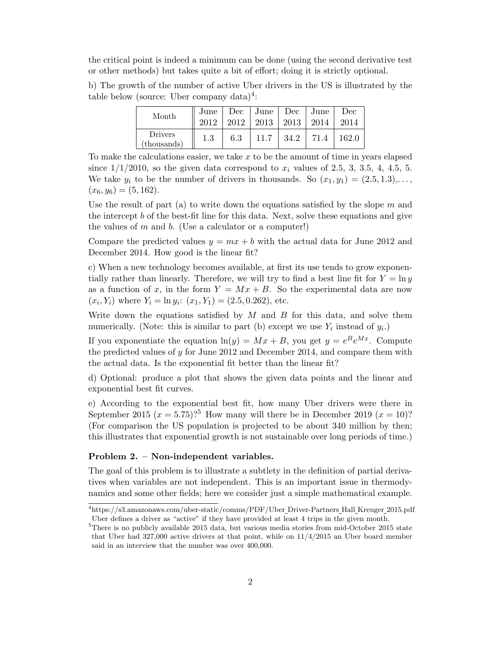the critical point is indeed a minimum can be done (using the second derivative test or other methods) but takes quite a bit of effort; doing it is strictly optional.

b) The growth of the number of active Uber drivers in the US is illustrated by the  $t$ able below (source: Uber company data)<sup>4</sup>:

| Month                  | June<br>2012 | 2012 | Dec   June   Dec   June<br>2013 | 2013 | 2014 | Dec<br>2014 |
|------------------------|--------------|------|---------------------------------|------|------|-------------|
| Drivers<br>(thousands) | $1.3\,$      | 6.3  | 11.7                            | 34.2 | 71.4 | 162.0       |

To make the calculations easier, we take  $x$  to be the amount of time in years elapsed since  $1/1/2010$ , so the given data correspond to  $x_i$  values of 2.5, 3, 3.5, 4, 4.5, 5. We take  $y_i$  to be the number of drivers in thousands. So  $(x_1, y_1) = (2.5, 1.3), \ldots$ ,  $(x_6, y_6) = (5, 162).$ 

Use the result of part (a) to write down the equations satisfied by the slope m and the intercept b of the best-fit line for this data. Next, solve these equations and give the values of  $m$  and  $b$ . (Use a calculator or a computer!)

Compare the predicted values  $y = mx + b$  with the actual data for June 2012 and December 2014. How good is the linear fit?

c) When a new technology becomes available, at first its use tends to grow exponentially rather than linearly. Therefore, we will try to find a best line fit for  $Y = \ln y$ as a function of x, in the form  $Y = Mx + B$ . So the experimental data are now  $(x_i, Y_i)$  where  $Y_i = \ln y_i$ :  $(x_1, Y_1) = (2.5, 0.262)$ , etc.

Write down the equations satisfied by  $M$  and  $B$  for this data, and solve them numerically. (Note: this is similar to part (b) except we use  $Y_i$  instead of  $y_i$ .)

If you exponentiate the equation  $ln(y) = Mx + B$ , you get  $y = e^B e^{Mx}$ . Compute the predicted values of  $y$  for June 2012 and December 2014, and compare them with the actual data. Is the exponential fit better than the linear fit?

d) Optional: produce a plot that shows the given data points and the linear and exponential best fit curves.

e) According to the exponential best fit, how many Uber drivers were there in September 2015  $(x = 5.75)$ ?<sup>5</sup> How many will there be in December 2019  $(x = 10)$ ? (For comparison the US population is projected to be about 340 million by then; this illustrates that exponential growth is not sustainable over long periods of time.)

## Problem 2. – Non-independent variables.

The goal of this problem is to illustrate a subtlety in the definition of partial derivatives when variables are not independent. This is an important issue in thermodynamics and some other fields; here we consider just a simple mathematical example.

<sup>4</sup>https://s3.amazonaws.com/uber-static/comms/PDF/Uber Driver-Partners Hall Kreuger 2015.pdf Uber defines a driver as "active" if they have provided at least 4 trips in the given month.

<sup>5</sup>There is no publicly available 2015 data, but various media stories from mid-October 2015 state that Uber had 327,000 active drivers at that point, while on 11/4/2015 an Uber board member said in an interview that the number was over 400,000.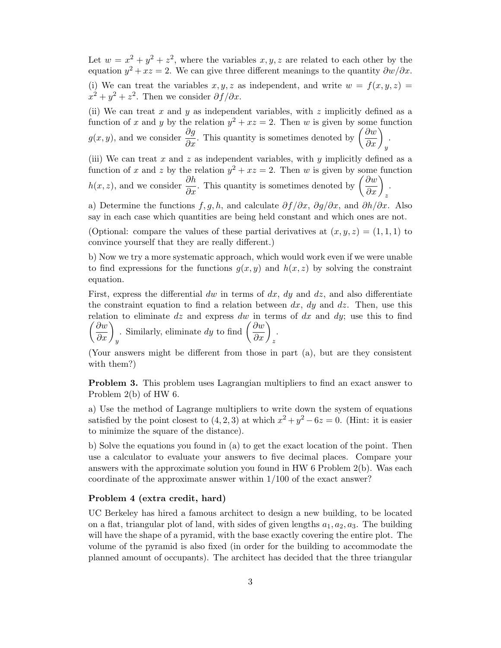Let  $w = x^2 + y^2 + z^2$ , where the variables  $x, y, z$  are related to each other by the equation  $y^2 + xz = 2$ . We can give three different meanings to the quantity  $\frac{\partial w}{\partial x}$ . (i) We can treat the variables  $x, y, z$  as independent, and write  $w = f(x, y, z) =$ 

 $x^2 + y^2 + z^2$ . Then we consider  $\partial f / \partial x$ .

(ii) We can treat x and y as independent variables, with z implicitly defined as a function of x and y by the relation  $y^2 + xz = 2$ . Then w is given by some function  $g(x, y)$ , and we consider  $\frac{\partial g}{\partial x}$ . This quantity is sometimes denoted by  $\left(\frac{\partial w}{\partial x}\right)_y$ .

(iii) We can treat x and z as independent variables, with y implicitly defined as a function of x and z by the relation  $y^2 + xz = 2$ . Then w is given by some function  $h(x, z)$ , and we consider  $\frac{\partial h}{\partial x}$ . This quantity is sometimes denoted by  $\left(\frac{\partial w}{\partial x}\right)_z$ .

a) Determine the functions  $f, g, h$ , and calculate  $\partial f / \partial x$ ,  $\partial g / \partial x$ , and  $\partial h / \partial x$ . Also say in each case which quantities are being held constant and which ones are not.

(Optional: compare the values of these partial derivatives at  $(x, y, z) = (1, 1, 1)$  to convince yourself that they are really different.)

b) Now we try a more systematic approach, which would work even if we were unable to find expressions for the functions  $g(x, y)$  and  $h(x, z)$  by solving the constraint equation.

First, express the differential dw in terms of  $dx$ ,  $dy$  and  $dz$ , and also differentiate the constraint equation to find a relation between  $dx$ ,  $dy$  and  $dz$ . Then, use this  $\left(\frac{\partial w}{\partial x}\right)_y$ relation to eliminate  $dz$  and express dw in terms of  $dx$  and  $dy$ ; use this to find . Similarly, eliminate dy to find  $\left(\frac{\partial w}{\partial x}\right)_z$ .

(Your answers might be different from those in part (a), but are they consistent with them?)

Problem 3. This problem uses Lagrangian multipliers to find an exact answer to Problem 2(b) of HW 6.

a) Use the method of Lagrange multipliers to write down the system of equations satisfied by the point closest to  $(4, 2, 3)$  at which  $x^2 + y^2 - 6z = 0$ . (Hint: it is easier to minimize the square of the distance).

b) Solve the equations you found in (a) to get the exact location of the point. Then use a calculator to evaluate your answers to five decimal places. Compare your answers with the approximate solution you found in HW 6 Problem 2(b). Was each coordinate of the approximate answer within 1/100 of the exact answer?

## Problem 4 (extra credit, hard)

UC Berkeley has hired a famous architect to design a new building, to be located on a flat, triangular plot of land, with sides of given lengths  $a_1, a_2, a_3$ . The building will have the shape of a pyramid, with the base exactly covering the entire plot. The volume of the pyramid is also fixed (in order for the building to accommodate the planned amount of occupants). The architect has decided that the three triangular